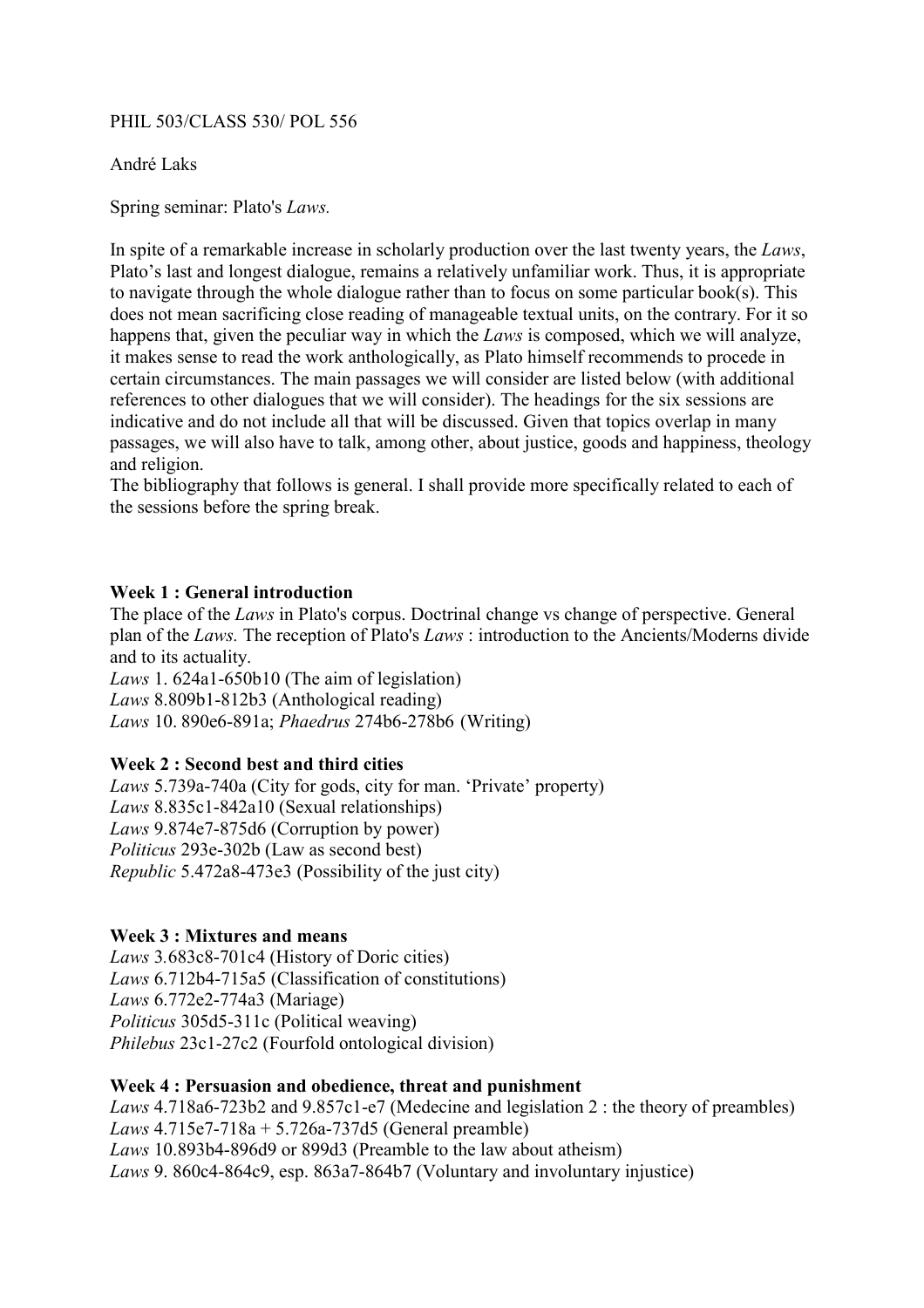PHIL 503/CLASS 530/ POL 556

André Laks

Spring seminar: Plato's *Laws.*

In spite of a remarkable increase in scholarly production over the last twenty years, the *Laws*, Plato's last and longest dialogue, remains a relatively unfamiliar work. Thus, it is appropriate to navigate through the whole dialogue rather than to focus on some particular book(s). This does not mean sacrificing close reading of manageable textual units, on the contrary. For it so happens that, given the peculiar way in which the *Laws* is composed, which we will analyze, it makes sense to read the work anthologically, as Plato himself recommends to procede in certain circumstances. The main passages we will consider are listed below (with additional references to other dialogues that we will consider). The headings for the six sessions are indicative and do not include all that will be discussed. Given that topics overlap in many passages, we will also have to talk, among other, about justice, goods and happiness, theology and religion.

The bibliography that follows is general. I shall provide more specifically related to each of the sessions before the spring break.

## **Week 1 : General introduction**

The place of the *Laws* in Plato's corpus. Doctrinal change vs change of perspective. General plan of the *Laws.* The reception of Plato's *Laws* : introduction to the Ancients/Moderns divide and to its actuality.

*Laws* 1. 624a1-650b10 (The aim of legislation) *Laws* 8.809b1-812b3 (Anthological reading) *Laws* 10. 890e6-891a; *Phaedrus* 274b6-278b6 (Writing)

# **Week 2 : Second best and third cities**

*Laws* 5.739a-740a (City for gods, city for man. 'Private' property) *Laws* 8.835c1-842a10 (Sexual relationships) *Laws* 9.874e7-875d6 (Corruption by power) *Politicus* 293e-302b (Law as second best) *Republic* 5.472a8-473e3 (Possibility of the just city)

# **Week 3 : Mixtures and means**

*Laws* 3*.*683c8-701c4 (History of Doric cities) *Laws* 6.712b4-715a5 (Classification of constitutions) *Laws* 6.772e2-774a3 (Mariage) *Politicus* 305d5-311c (Political weaving) *Philebus* 23c1-27c2 (Fourfold ontological division)

# **Week 4 : Persuasion and obedience, threat and punishment** *Laws* 4.718a6-723b2 and 9.857c1-e7 (Medecine and legislation 2 : the theory of preambles) *Laws* 4.715e7-718a + 5.726a-737d5 (General preamble)

*Laws* 10.893b4-896d9 or 899d3 (Preamble to the law about atheism) *Laws* 9. 860c4-864c9, esp. 863a7-864b7 (Voluntary and involuntary injustice)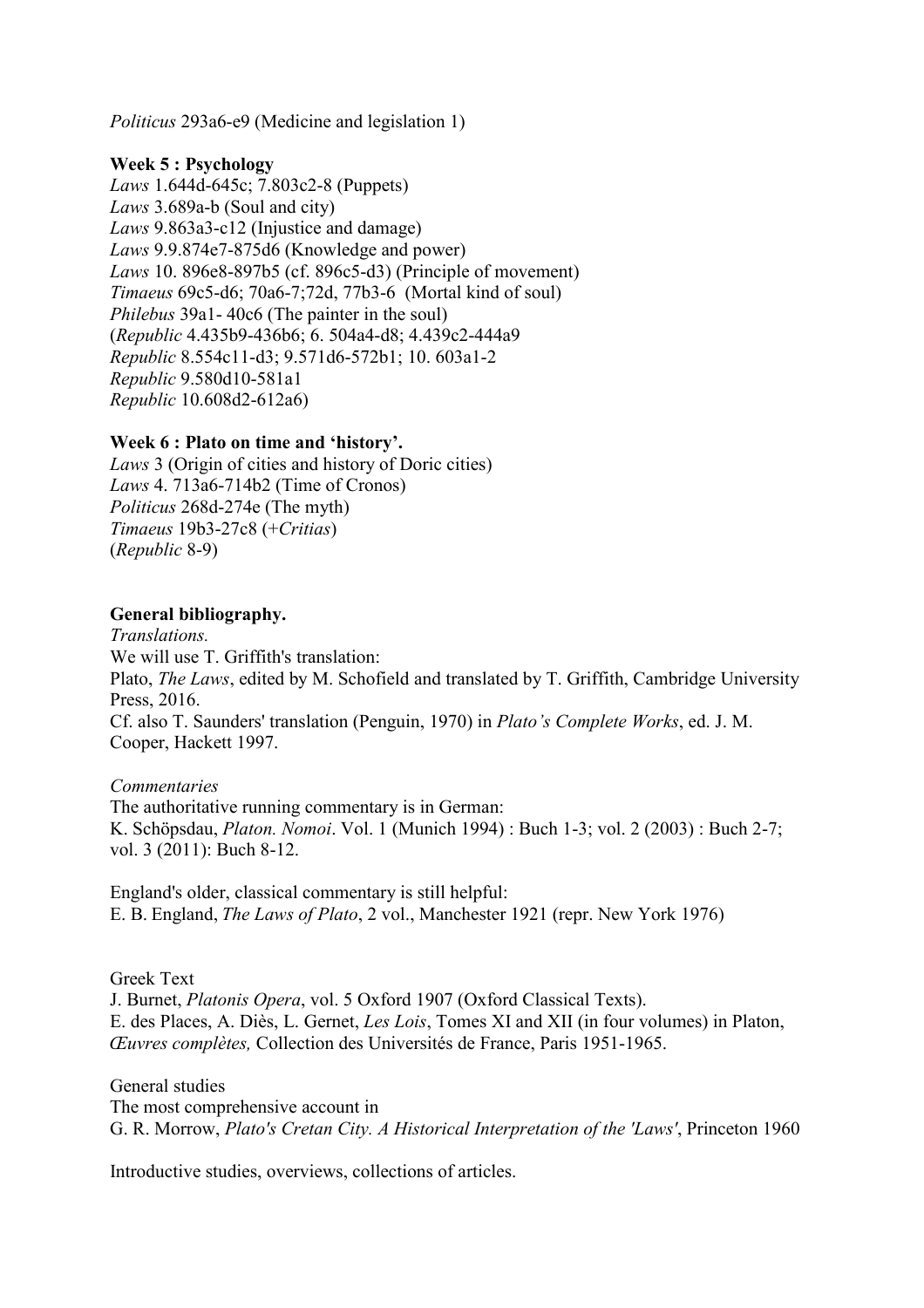*Politicus* 293a6-e9 (Medicine and legislation 1)

#### **Week 5 : Psychology**

*Laws* 1.644d-645c; 7.803c2-8 (Puppets) *Laws* 3.689a-b (Soul and city) *Laws* 9.863a3-c12 (Injustice and damage) *Laws* 9.9.874e7-875d6 (Knowledge and power) *Laws* 10. 896e8-897b5 (cf. 896c5-d3) (Principle of movement) *Timaeus* 69c5-d6; 70a6-7;72d, 77b3-6 (Mortal kind of soul) *Philebus* 39a1- 40c6 (The painter in the soul) (*Republic* 4.435b9-436b6; 6. 504a4-d8; 4.439c2-444a9 *Republic* 8.554c11-d3; 9.571d6-572b1; 10. 603a1-2 *Republic* 9.580d10-581a1 *Republic* 10.608d2-612a6)

## **Week 6 : Plato on time and 'history'.**

*Laws* 3 (Origin of cities and history of Doric cities) *Laws* 4. 713a6-714b2 (Time of Cronos) *Politicus* 268d-274e (The myth) *Timaeus* 19b3-27c8 (+*Critias*) (*Republic* 8-9)

## **General bibliography.**

*Translations.* We will use T. Griffith's translation: Plato, *The Laws*, edited by M. Schofield and translated by T. Griffith, Cambridge University Press, 2016. Cf. also T. Saunders' translation (Penguin, 1970) in *Plato's Complete Works*, ed. J. M. Cooper, Hackett 1997.

#### *Commentaries*

The authoritative running commentary is in German: K. Schöpsdau, *Platon. Nomoi*. Vol. 1 (Munich 1994) : Buch 1-3; vol. 2 (2003) : Buch 2-7; vol. 3 (2011): Buch 8-12.

England's older, classical commentary is still helpful: E. B. England, *The Laws of Plato*, 2 vol., Manchester 1921 (repr. New York 1976)

Greek Text J. Burnet, *Platonis Opera*, vol. 5 Oxford 1907 (Oxford Classical Texts). E. des Places, A. Diès, L. Gernet, *Les Lois*, Tomes XI and XII (in four volumes) in Platon, *Œuvres complètes,* Collection des Universités de France, Paris 1951-1965.

General studies The most comprehensive account in G. R. Morrow, *Plato's Cretan City. A Historical Interpretation of the 'Laws'*, Princeton 1960

Introductive studies, overviews, collections of articles.